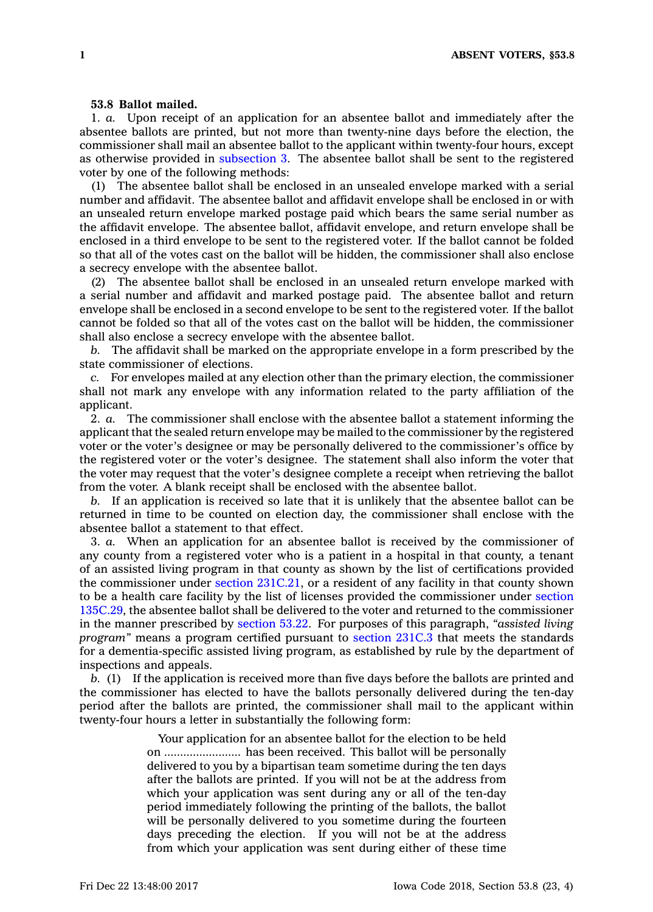## **53.8 Ballot mailed.**

1. *a.* Upon receipt of an application for an absentee ballot and immediately after the absentee ballots are printed, but not more than twenty-nine days before the election, the commissioner shall mail an absentee ballot to the applicant within twenty-four hours, except as otherwise provided in [subsection](https://www.legis.iowa.gov/docs/code/53.8.pdf) 3. The absentee ballot shall be sent to the registered voter by one of the following methods:

(1) The absentee ballot shall be enclosed in an unsealed envelope marked with <sup>a</sup> serial number and affidavit. The absentee ballot and affidavit envelope shall be enclosed in or with an unsealed return envelope marked postage paid which bears the same serial number as the affidavit envelope. The absentee ballot, affidavit envelope, and return envelope shall be enclosed in <sup>a</sup> third envelope to be sent to the registered voter. If the ballot cannot be folded so that all of the votes cast on the ballot will be hidden, the commissioner shall also enclose <sup>a</sup> secrecy envelope with the absentee ballot.

(2) The absentee ballot shall be enclosed in an unsealed return envelope marked with <sup>a</sup> serial number and affidavit and marked postage paid. The absentee ballot and return envelope shall be enclosed in <sup>a</sup> second envelope to be sent to the registered voter. If the ballot cannot be folded so that all of the votes cast on the ballot will be hidden, the commissioner shall also enclose <sup>a</sup> secrecy envelope with the absentee ballot.

*b.* The affidavit shall be marked on the appropriate envelope in <sup>a</sup> form prescribed by the state commissioner of elections.

*c.* For envelopes mailed at any election other than the primary election, the commissioner shall not mark any envelope with any information related to the party affiliation of the applicant.

2. *a.* The commissioner shall enclose with the absentee ballot <sup>a</sup> statement informing the applicant that the sealed return envelope may be mailed to the commissioner by the registered voter or the voter's designee or may be personally delivered to the commissioner's office by the registered voter or the voter's designee. The statement shall also inform the voter that the voter may request that the voter's designee complete <sup>a</sup> receipt when retrieving the ballot from the voter. A blank receipt shall be enclosed with the absentee ballot.

*b.* If an application is received so late that it is unlikely that the absentee ballot can be returned in time to be counted on election day, the commissioner shall enclose with the absentee ballot <sup>a</sup> statement to that effect.

3. *a.* When an application for an absentee ballot is received by the commissioner of any county from <sup>a</sup> registered voter who is <sup>a</sup> patient in <sup>a</sup> hospital in that county, <sup>a</sup> tenant of an assisted living program in that county as shown by the list of certifications provided the commissioner under section [231C.21](https://www.legis.iowa.gov/docs/code/231C.21.pdf), or <sup>a</sup> resident of any facility in that county shown to be <sup>a</sup> health care facility by the list of licenses provided the commissioner under [section](https://www.legis.iowa.gov/docs/code/135C.29.pdf) [135C.29](https://www.legis.iowa.gov/docs/code/135C.29.pdf), the absentee ballot shall be delivered to the voter and returned to the commissioner in the manner prescribed by [section](https://www.legis.iowa.gov/docs/code/53.22.pdf) 53.22. For purposes of this paragraph, *"assisted living program"* means <sup>a</sup> program certified pursuant to [section](https://www.legis.iowa.gov/docs/code/231C.3.pdf) 231C.3 that meets the standards for <sup>a</sup> dementia-specific assisted living program, as established by rule by the department of inspections and appeals.

*b.* (1) If the application is received more than five days before the ballots are printed and the commissioner has elected to have the ballots personally delivered during the ten-day period after the ballots are printed, the commissioner shall mail to the applicant within twenty-four hours <sup>a</sup> letter in substantially the following form:

> Your application for an absentee ballot for the election to be held on ........................ has been received. This ballot will be personally delivered to you by <sup>a</sup> bipartisan team sometime during the ten days after the ballots are printed. If you will not be at the address from which your application was sent during any or all of the ten-day period immediately following the printing of the ballots, the ballot will be personally delivered to you sometime during the fourteen days preceding the election. If you will not be at the address from which your application was sent during either of these time